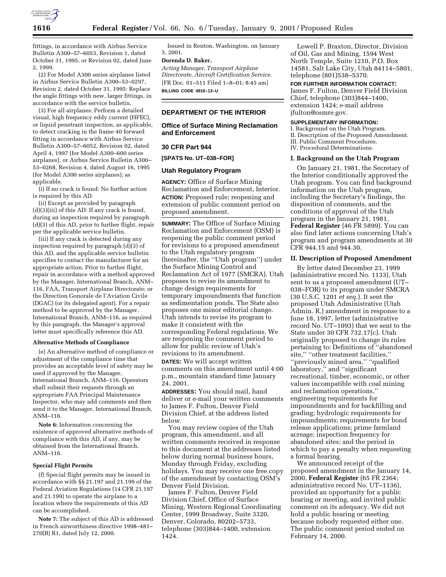

fittings, in accordance with Airbus Service Bulletin A300–57–6053, Revision 1, dated October 31, 1995, or Revision 02, dated June 2, 1999.

(2) For Model A300 series airplanes listed in Airbus Service Bulletin A300–53–0297, Revision 2, dated October 31, 1995: Replace the angle fittings with new, larger fittings, in accordance with the service bulletin.

(3) For all airplanes: Perform a detailed visual, high frequency eddy current (HFEC), or liquid penetrant inspection, as applicable, to detect cracking in the frame 40 forward fitting in accordance with Airbus Service Bulletin A300–57–6052, Revision 02, dated April 4, 1997 (for Model A300–600 series airplanes), or Airbus Service Bulletin A300– 53–0268, Revision 4, dated August 16, 1995 (for Model A300 series airplanes); as applicable.

(i) If no crack is found: No further action is required by this AD.

(ii) Except as provided by paragraph (d)(3)(iii) of this AD: If any crack is found, during an inspection required by paragraph (d)(3) of this AD, prior to further flight, repair per the applicable service bulletin.

(iii) If any crack is detected during any inspection required by paragraph (d)(3) of this AD, and the applicable service bulletin specifies to contact the manufacturer for an appropriate action. Prior to further flight, repair in accordance with a method approved by the Manager, International Branch, ANM– 116, FAA, Transport Airplane Directorate; or the Direction Gonorale de l'Aviation Civile (DGAC) (or its delegated agent). For a repair method to be approved by the Manager, International Branch, ANM–116, as required by this paragraph, the Manager's approval letter must specifically reference this AD.

#### **Alternative Methods of Compliance**

(e) An alternative method of compliance or adjustment of the compliance time that provides an acceptable level of safety may be used if approved by the Manager, International Branch, ANM–116. Operators shall submit their requests through an appropriate FAA Principal Maintenance Inspector, who may add comments and then send it to the Manager, International Branch, ANM–116.

**Note 6:** Information concerning the existence of approved alternative methods of compliance with this AD, if any, may be obtained from the International Branch, ANM–116.

### **Special Flight Permits**

(f) Special flight permits may be issued in accordance with §§ 21.197 and 21.199 of the Federal Aviation Regulations (14 CFR 21.197 and 21.199) to operate the airplane to a location where the requirements of this AD can be accomplished.

**Note 7:** The subject of this AD is addressed in French airworthiness directive 1998–481– 270(B) R1, dated July 12, 2000.

Issued in Renton, Washington, on January 3, 2001.

# **Dorenda D. Baker,**

*Acting Manager, Transport Airplane Directorate, Aircraft Certification Service.* [FR Doc. 01–511 Filed 1–8–01; 8:45 am] **BILLING CODE 4910–13–U**

## **DEPARTMENT OF THE INTERIOR**

**Office of Surface Mining Reclamation and Enforcement**

## **30 CFR Part 944**

**[SPATS No. UT–038–FOR]**

#### **Utah Regulatory Program**

**AGENCY:** Office of Surface Mining Reclamation and Enforcement, Interior. **ACTION:** Proposed rule; reopening and extension of public comment period on proposed amendment.

**SUMMARY:** The Office of Surface Mining Reclamation and Enforcement (OSM) is reopening the public comment period for revisions to a proposed amendment to the Utah regulatory program (hereinafter, the ''Utah program'') under the Surface Mining Control and Reclamation Act of 1977 (SMCRA). Utah proposes to revise its amendment to change design requirements for temporary impoundments that function as sedimentation ponds. The State also proposes one minor editorial change. Utah intends to revise its program to make it consistent with the corresponding Federal regulations. We are reopening the comment period to allow for public review of Utah's revisions to its amendment.

**DATES:** We will accept written comments on this amendment until 4:00 p.m., mountain standard time January 24, 2001.

**ADDRESSES:** You should mail, hand deliver or e-mail your written comments to James F. Fulton, Denver Field Division Chief, at the address listed below.

You may review copies of the Utah program, this amendment, and all written comments received in response to this document at the addresses listed below during normal business hours, Monday through Friday, excluding holidays. You may receive one free copy of the amendment by contacting OSM's Denver Field Division.

James F. Fulton, Denver Field Division Chief, Office of Surface Mining, Western Regional Coordinating Center, 1999 Broadway, Suite 3320, Denver, Colorado, 80202–5733, telephone (303)844–1400, extension 1424.

Lowell P. Braxton, Director, Division of Oil, Gas and Mining, 1594 West North Temple, Suite 1210, P.O. Box 14581, Salt Lake City, Utah 84114–5801, telephone (801)538–5370.

**FOR FURTHER INFORMATION CONTACT:** James F. Fulton, Denver Field Division Chief, telephone (303)844–1400, extension 1424; e-mail address jfulton@osmre.gov.

#### **SUPPLEMENTARY INFORMATION:**

I. Background on the Utah Program. II. Description of the Proposed Amendment. III. Public Comment Procedures.

IV. Procedural Determinations.

#### **I. Background on the Utah Program**

On January 21, 1981, the Secretary of the Interior conditionally approved the Utah program. You can find background information on the Utah program, including the Secretary's findings, the disposition of comments, and the conditions of approval of the Utah program in the January 21, 1981, **Federal Register** (46 FR 5899). You can also find later actions concerning Utah's program and program amendments at 30 CFR 944.15 and 944.30.

#### **II. Description of Proposed Amendment**

By letter dated December 23, 1999 (administrative record No. 1133), Utah sent to us a proposed amendment (UT– 038–FOR) to its program under SMCRA (30 U.S.C. 1201 *et seq.*). It sent the proposed Utah Administrative (Utah Admin. R.) amendment in response to a June 18, 1997, letter (administrative record No. UT–1093) that we sent to the State under 30 CFR 732.17(c). Utah originally proposed to change its rules pertaining to: Definitions of ''abandoned site," "other treatment facilities," ''previously mined area,'' ''qualified laboratory," and "significant recreational, timber, economic, or other values incompatible with coal mining and reclamation operations,'' engineering requirements for impoundments and for backfilling and grading; hydrologic requirements for impoundments; requirements for bond release applications; prime farmland acreage; inspection frequency for abandoned sites; and the period in which to pay a penalty when requesting a formal hearing.

We announced receipt of the proposed amendment in the January 14, 2000, **Federal Register** (65 FR 2364; administrative record No. UT–1136), provided an opportunity for a public hearing or meeting, and invited public comment on its adequacy. We did not hold a public hearing or meeting because nobody requested either one. The public comment period ended on February 14, 2000.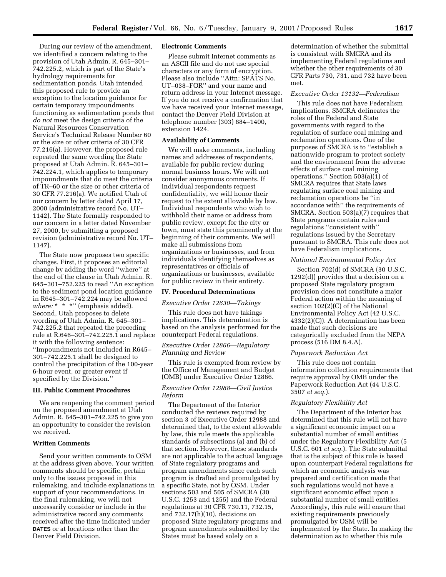During our review of the amendment, we identified a concern relating to the provision of Utah Admin. R. 645–301– 742.225.2, which is part of the State's hydrology requirements for sedimentation ponds. Utah intended this proposed rule to provide an exception to the location guidance for certain temporary impoundments functioning as sedimentation ponds that *do not* meet the design criteria of the Natural Resources Conservation Service's Technical Release Number 60 or the size or other criteria of 30 CFR 77.216(a). However, the proposed rule repeated the same wording the State proposed at Utah Admin. R. 645–301– 742.224.1, which applies to temporary impoundments that do meet the criteria of TR–60 or the size or other criteria of 30 CFR 77.216(a). We notified Utah of our concern by letter dated April 17, 2000 (administrative record No. UT– 1142). The State formally responded to our concern in a letter dated November 27, 2000, by submitting a proposed revision (administrative record No. UT– 1147).

The State now proposes two specific changes. First, it proposes an editorial change by adding the word ''where'' at the end of the clause in Utah Admin. R. 645–301–752.225 to read ''An exception to the sediment pond location guidance in R645–301–742.224 may be allowed *where:* \* \* \*" (emphasis added). Second, Utah proposes to delete wording of Utah Admin. R. 645–301– 742.225.2 that repeated the preceding rule at R.646–301–742.225.1 and replace it with the following sentence: ''Impoundments not included in R645– 301–742.225.1 shall be designed to control the precipitation of the 100-year 6-hour event, or greater event if specified by the Division.''

### **III. Public Comment Procedures**

We are reopening the comment period on the proposed amendment at Utah Admin. R. 645–301–742.225 to give you an opportunity to consider the revision we received.

### **Written Comments**

Send your written comments to OSM at the address given above. Your written comments should be specific, pertain only to the issues proposed in this rulemaking, and include explanations in support of your recommendations. In the final rulemaking, we will not necessarily consider or include in the administrative record any comments received after the time indicated under **DATES** or at locations other than the Denver Field Division.

### **Electronic Comments**

Please submit Internet comments as an ASCII file and do not use special characters or any form of encryption. Please also include ''Attn: SPATS No. UT–038–FOR'' and your name and return address in your Internet message. If you do not receive a confirmation that we have received your Internet message, contact the Denver Field Division at telephone number (303) 884–1400, extension 1424.

### **Availability of Comments**

We will make comments, including names and addresses of respondents, available for public review during normal business hours. We will not consider anonymous comments. If individual respondents request confidentiality, we will honor their request to the extent allowable by law. Individual respondents who wish to withhold their name or address from public review, except for the city or town, must state this prominently at the beginning of their comments. We will make all submissions from organizations or businesses, and from individuals identifying themselves as representatives or officials of organizations or businesses, available for public review in their entirety.

### **IV. Procedural Determinations**

#### *Executive Order 12630—Takings*

This rule does not have takings implications. This determination is based on the analysis performed for the counterpart Federal regulations.

## *Executive Order 12866—Regulatory Planning and Review*

This rule is exempted from review by the Office of Management and Budget (OMB) under Executive Order 12866.

### *Executive Order 12988—Civil Justice Reform*

The Department of the Interior conducted the reviews required by section 3 of Executive Order 12988 and determined that, to the extent allowable by law, this rule meets the applicable standards of subsections (a) and (b) of that section. However, these standards are not applicable to the actual language of State regulatory programs and program amendments since each such program is drafted and promulgated by a specific State, not by OSM. Under sections 503 and 505 of SMCRA (30 U.S.C. 1253 and 1255) and the Federal regulations at 30 CFR 730.11, 732.15, and 732.17(h)(10), decisions on proposed State regulatory programs and program amendments submitted by the States must be based solely on a

determination of whether the submittal is consistent with SMCRA and its implementing Federal regulations and whether the other requirements of 30 CFR Parts 730, 731, and 732 have been met.

### *Executive Order 13132—Federalism*

This rule does not have Federalism implications. SMCRA delineates the roles of the Federal and State governments with regard to the regulation of surface coal mining and reclamation operations. One of the purposes of SMCRA is to ''establish a nationwide program to protect society and the environment from the adverse effects of surface coal mining operations.'' Section 503(a)(1) of SMCRA requires that State laws regulating surface coal mining and reclamation operations be ''in accordance with'' the requirements of SMCRA. Section 503(a)(7) requires that State programs contain rules and regulations ''consistent with'' regulations issued by the Secretary pursuant to SMCRA. This rule does not have Federalism implications.

#### *National Environmental Policy Act*

Section 702(d) of SMCRA (30 U.S.C. 1292(d)) provides that a decision on a proposed State regulatory program provision does not constitute a major Federal action within the meaning of section 102(2)(C) of the National Environmental Policy Act (42 U.S.C. 4332(2)(C)). A determination has been made that such decisions are categorically excluded from the NEPA process (516 DM 8.4.A).

#### *Paperwork Reduction Act*

This rule does not contain information collection requirements that require approval by OMB under the Paperwork Reduction Act (44 U.S.C. 3507 *et seq.*).

### *Regulatory Flexibility Act*

The Department of the Interior has determined that this rule will not have a significant economic impact on a substantial number of small entities under the Regulatory Flexibility Act (5 U.S.C. 601 *et seq.*). The State submittal that is the subject of this rule is based upon counterpart Federal regulations for which an economic analysis was prepared and certification made that such regulations would not have a significant economic effect upon a substantial number of small entities. Accordingly, this rule will ensure that existing requirements previously promulgated by OSM will be implemented by the State. In making the determination as to whether this rule